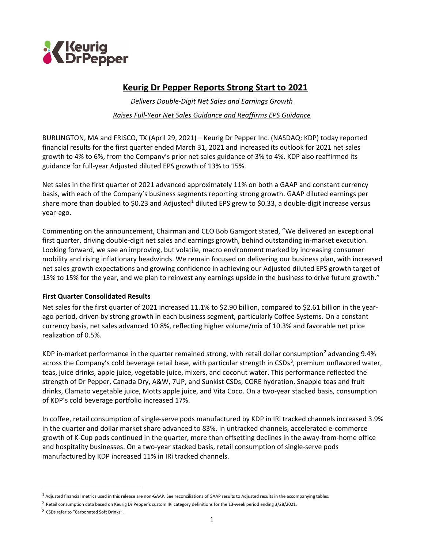

# **Keurig Dr Pepper Reports Strong Start to 2021**

*Delivers Double-Digit Net Sales and Earnings Growth Raises Full-Year Net Sales Guidance and Reaffirms EPS Guidance*

BURLINGTON, MA and FRISCO, TX (April 29, 2021) – Keurig Dr Pepper Inc. (NASDAQ: KDP) today reported financial results for the first quarter ended March 31, 2021 and increased its outlook for 2021 net sales growth to 4% to 6%, from the Company's prior net sales guidance of 3% to 4%. KDP also reaffirmed its guidance for full-year Adjusted diluted EPS growth of 13% to 15%.

Net sales in the first quarter of 2021 advanced approximately 11% on both a GAAP and constant currency basis, with each of the Company's business segments reporting strong growth. GAAP diluted earnings per share more than doubled to \$0.23 and Adjusted<sup>[1](#page-0-0)</sup> diluted EPS grew to \$0.33, a double-digit increase versus year-ago.

Commenting on the announcement, Chairman and CEO Bob Gamgort stated, "We delivered an exceptional first quarter, driving double-digit net sales and earnings growth, behind outstanding in-market execution. Looking forward, we see an improving, but volatile, macro environment marked by increasing consumer mobility and rising inflationary headwinds. We remain focused on delivering our business plan, with increased net sales growth expectations and growing confidence in achieving our Adjusted diluted EPS growth target of 13% to 15% for the year, and we plan to reinvest any earnings upside in the business to drive future growth."

### **First Quarter Consolidated Results**

Net sales for the first quarter of 2021 increased 11.1% to \$2.90 billion, compared to \$2.61 billion in the yearago period, driven by strong growth in each business segment, particularly Coffee Systems. On a constant currency basis, net sales advanced 10.8%, reflecting higher volume/mix of 10.3% and favorable net price realization of 0.5%.

KDP in-market performance in the quarter remained strong, with retail dollar consumption<sup>[2](#page-0-1)</sup> advancing 9.4% across the Company's cold beverage retail base, with particular strength in CSDs<sup>[3](#page-0-2)</sup>, premium unflavored water, teas, juice drinks, apple juice, vegetable juice, mixers, and coconut water. This performance reflected the strength of Dr Pepper, Canada Dry, A&W, 7UP, and Sunkist CSDs, CORE hydration, Snapple teas and fruit drinks, Clamato vegetable juice, Motts apple juice, and Vita Coco. On a two-year stacked basis, consumption of KDP's cold beverage portfolio increased 17%.

In coffee, retail consumption of single-serve pods manufactured by KDP in IRi tracked channels increased 3.9% in the quarter and dollar market share advanced to 83%. In untracked channels, accelerated e-commerce growth of K-Cup pods continued in the quarter, more than offsetting declines in the away-from-home office and hospitality businesses. On a two-year stacked basis, retail consumption of single-serve pods manufactured by KDP increased 11% in IRi tracked channels.

<span id="page-0-1"></span><span id="page-0-0"></span> $1$  Adjusted financial metrics used in this release are non-GAAP. See reconciliations of GAAP results to Adjusted results in the accompanying tables.

 $^2$  Retail consumption data based on Keurig Dr Pepper's custom IRi category definitions for the 13-week period ending 3/28/2021.

<span id="page-0-2"></span><sup>3</sup> CSDs refer to "Carbonated Soft Drinks".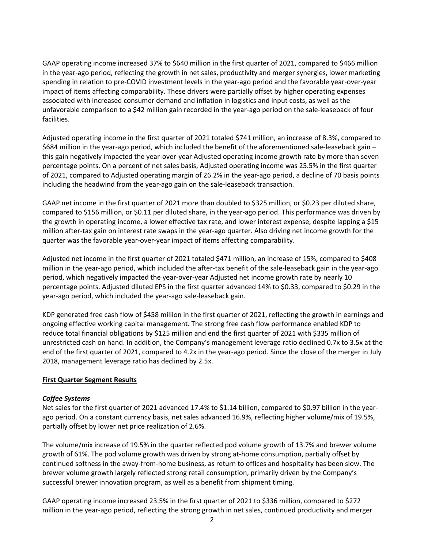GAAP operating income increased 37% to \$640 million in the first quarter of 2021, compared to \$466 million in the year-ago period, reflecting the growth in net sales, productivity and merger synergies, lower marketing spending in relation to pre-COVID investment levels in the year-ago period and the favorable year-over-year impact of items affecting comparability. These drivers were partially offset by higher operating expenses associated with increased consumer demand and inflation in logistics and input costs, as well as the unfavorable comparison to a \$42 million gain recorded in the year-ago period on the sale-leaseback of four facilities.

Adjusted operating income in the first quarter of 2021 totaled \$741 million, an increase of 8.3%, compared to \$684 million in the year-ago period, which included the benefit of the aforementioned sale-leaseback gain – this gain negatively impacted the year-over-year Adjusted operating income growth rate by more than seven percentage points. On a percent of net sales basis, Adjusted operating income was 25.5% in the first quarter of 2021, compared to Adjusted operating margin of 26.2% in the year-ago period, a decline of 70 basis points including the headwind from the year-ago gain on the sale-leaseback transaction.

GAAP net income in the first quarter of 2021 more than doubled to \$325 million, or \$0.23 per diluted share, compared to \$156 million, or \$0.11 per diluted share, in the year-ago period. This performance was driven by the growth in operating income, a lower effective tax rate, and lower interest expense, despite lapping a \$15 million after-tax gain on interest rate swaps in the year-ago quarter. Also driving net income growth for the quarter was the favorable year-over-year impact of items affecting comparability.

Adjusted net income in the first quarter of 2021 totaled \$471 million, an increase of 15%, compared to \$408 million in the year-ago period, which included the after-tax benefit of the sale-leaseback gain in the year-ago period, which negatively impacted the year-over-year Adjusted net income growth rate by nearly 10 percentage points. Adjusted diluted EPS in the first quarter advanced 14% to \$0.33, compared to \$0.29 in the year-ago period, which included the year-ago sale-leaseback gain.

KDP generated free cash flow of \$458 million in the first quarter of 2021, reflecting the growth in earnings and ongoing effective working capital management. The strong free cash flow performance enabled KDP to reduce total financial obligations by \$125 million and end the first quarter of 2021 with \$335 million of unrestricted cash on hand. In addition, the Company's management leverage ratio declined 0.7x to 3.5x at the end of the first quarter of 2021, compared to 4.2x in the year-ago period. Since the close of the merger in July 2018, management leverage ratio has declined by 2.5x.

### **First Quarter Segment Results**

### *Coffee Systems*

Net sales for the first quarter of 2021 advanced 17.4% to \$1.14 billion, compared to \$0.97 billion in the yearago period. On a constant currency basis, net sales advanced 16.9%, reflecting higher volume/mix of 19.5%, partially offset by lower net price realization of 2.6%.

The volume/mix increase of 19.5% in the quarter reflected pod volume growth of 13.7% and brewer volume growth of 61%. The pod volume growth was driven by strong at-home consumption, partially offset by continued softness in the away-from-home business, as return to offices and hospitality has been slow. The brewer volume growth largely reflected strong retail consumption, primarily driven by the Company's successful brewer innovation program, as well as a benefit from shipment timing.

GAAP operating income increased 23.5% in the first quarter of 2021 to \$336 million, compared to \$272 million in the year-ago period, reflecting the strong growth in net sales, continued productivity and merger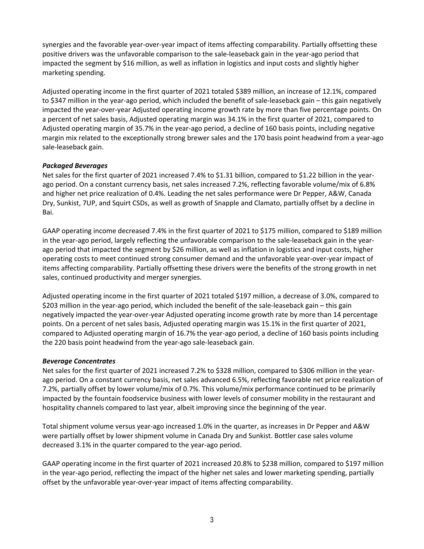synergies and the favorable year-over-year impact of items affecting comparability. Partially offsetting these positive drivers was the unfavorable comparison to the sale-leaseback gain in the year-ago period that impacted the segment by \$16 million, as well as inflation in logistics and input costs and slightly higher marketing spending.

Adjusted operating income in the first quarter of 2021 totaled \$389 million, an increase of 12.1%, compared to \$347 million in the year-ago period, which included the benefit of sale-leaseback gain – this gain negatively impacted the year-over-year Adjusted operating income growth rate by more than five percentage points. On a percent of net sales basis, Adjusted operating margin was 34.1% in the first quarter of 2021, compared to Adjusted operating margin of 35.7% in the year-ago period, a decline of 160 basis points, including negative margin mix related to the exceptionally strong brewer sales and the 170 basis point headwind from a year-ago sale-leaseback gain.

## *Packaged Beverages*

Net sales for the first quarter of 2021 increased 7.4% to \$1.31 billion, compared to \$1.22 billion in the yearago period. On a constant currency basis, net sales increased 7.2%, reflecting favorable volume/mix of 6.8% and higher net price realization of 0.4%. Leading the net sales performance were Dr Pepper, A&W, Canada Dry, Sunkist, 7UP, and Squirt CSDs, as well as growth of Snapple and Clamato, partially offset by a decline in Bai.

GAAP operating income decreased 7.4% in the first quarter of 2021 to \$175 million, compared to \$189 million in the year-ago period, largely reflecting the unfavorable comparison to the sale-leaseback gain in the yearago period that impacted the segment by \$26 million, as well as inflation in logistics and input costs, higher operating costs to meet continued strong consumer demand and the unfavorable year-over-year impact of items affecting comparability. Partially offsetting these drivers were the benefits of the strong growth in net sales, continued productivity and merger synergies.

Adjusted operating income in the first quarter of 2021 totaled \$197 million, a decrease of 3.0%, compared to \$203 million in the year-ago period, which included the benefit of the sale-leaseback gain – this gain negatively impacted the year-over-year Adjusted operating income growth rate by more than 14 percentage points. On a percent of net sales basis, Adjusted operating margin was 15.1% in the first quarter of 2021, compared to Adjusted operating margin of 16.7% the year-ago period, a decline of 160 basis points including the 220 basis point headwind from the year-ago sale-leaseback gain.

### *Beverage Concentrates*

Net sales for the first quarter of 2021 increased 7.2% to \$328 million, compared to \$306 million in the yearago period. On a constant currency basis, net sales advanced 6.5%, reflecting favorable net price realization of 7.2%, partially offset by lower volume/mix of 0.7%. This volume/mix performance continued to be primarily impacted by the fountain foodservice business with lower levels of consumer mobility in the restaurant and hospitality channels compared to last year, albeit improving since the beginning of the year.

Total shipment volume versus year-ago increased 1.0% in the quarter, as increases in Dr Pepper and A&W were partially offset by lower shipment volume in Canada Dry and Sunkist. Bottler case sales volume decreased 3.1% in the quarter compared to the year-ago period.

GAAP operating income in the first quarter of 2021 increased 20.8% to \$238 million, compared to \$197 million in the year-ago period, reflecting the impact of the higher net sales and lower marketing spending, partially offset by the unfavorable year-over-year impact of items affecting comparability.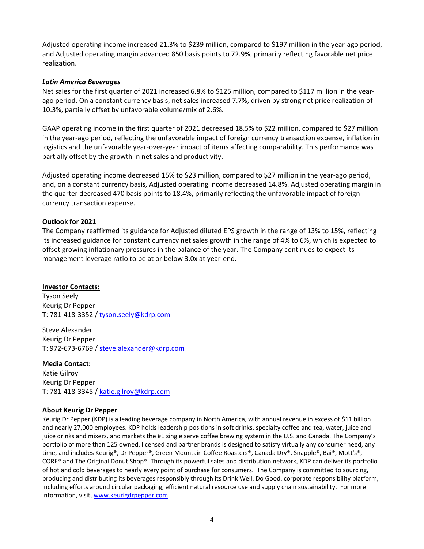Adjusted operating income increased 21.3% to \$239 million, compared to \$197 million in the year-ago period, and Adjusted operating margin advanced 850 basis points to 72.9%, primarily reflecting favorable net price realization.

### *Latin America Beverages*

Net sales for the first quarter of 2021 increased 6.8% to \$125 million, compared to \$117 million in the yearago period. On a constant currency basis, net sales increased 7.7%, driven by strong net price realization of 10.3%, partially offset by unfavorable volume/mix of 2.6%.

GAAP operating income in the first quarter of 2021 decreased 18.5% to \$22 million, compared to \$27 million in the year-ago period, reflecting the unfavorable impact of foreign currency transaction expense, inflation in logistics and the unfavorable year-over-year impact of items affecting comparability. This performance was partially offset by the growth in net sales and productivity.

Adjusted operating income decreased 15% to \$23 million, compared to \$27 million in the year-ago period, and, on a constant currency basis, Adjusted operating income decreased 14.8%. Adjusted operating margin in the quarter decreased 470 basis points to 18.4%, primarily reflecting the unfavorable impact of foreign currency transaction expense.

### **Outlook for 2021**

The Company reaffirmed its guidance for Adjusted diluted EPS growth in the range of 13% to 15%, reflecting its increased guidance for constant currency net sales growth in the range of 4% to 6%, which is expected to offset growing inflationary pressures in the balance of the year. The Company continues to expect its management leverage ratio to be at or below 3.0x at year-end.

### **Investor Contacts:**

Tyson Seely Keurig Dr Pepper T: 781-418-3352 [/ tyson.seely@kdrp.com](mailto:tyson.seely@kdrp.com)

Steve Alexander Keurig Dr Pepper T: 972-673-6769 [/ steve.alexander@kdrp.com](mailto:steve.alexander@kdrp.com)

**Media Contact:** Katie Gilroy Keurig Dr Pepper T: 781-418-3345 [/ katie.gilroy@kdrp.com](mailto:katie.gilroy@kdrp.com)

### **About Keurig Dr Pepper**

Keurig Dr Pepper (KDP) is a leading beverage company in North America, with annual revenue in excess of \$11 billion and nearly 27,000 employees. KDP holds leadership positions in soft drinks, specialty coffee and tea, water, juice and juice drinks and mixers, and markets the #1 single serve coffee brewing system in the U.S. and Canada. The Company's portfolio of more than 125 owned, licensed and partner brands is designed to satisfy virtually any consumer need, any time, and includes Keurig®, Dr Pepper®, Green Mountain Coffee Roasters®, Canada Dry®, Snapple®, Bai®, Mott's®, CORE® and The Original Donut Shop®. Through its powerful sales and distribution network, KDP can deliver its portfolio of hot and cold beverages to nearly every point of purchase for consumers. The Company is committed to sourcing, producing and distributing its beverages responsibly through its Drink Well. Do Good. corporate responsibility platform, including efforts around circular packaging, efficient natural resource use and supply chain sustainability. For more information, visit[, www.keurigdrpepper.com.](http://www.keurigdrpepper.com/)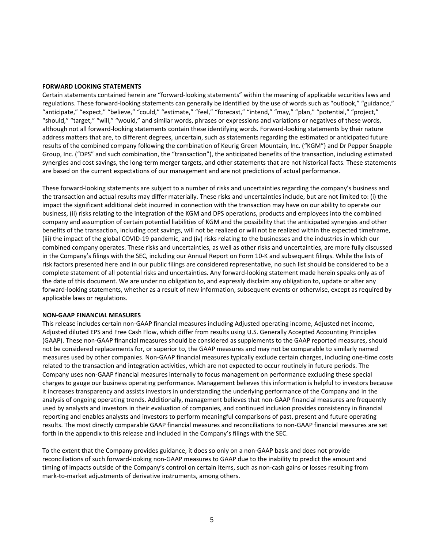### **FORWARD LOOKING STATEMENTS**

Certain statements contained herein are "forward-looking statements" within the meaning of applicable securities laws and regulations. These forward-looking statements can generally be identified by the use of words such as "outlook," "guidance," "anticipate," "expect," "believe," "could," "estimate," "feel," "forecast," "intend," "may," "plan," "potential," "project," "should," "target," "will," "would," and similar words, phrases or expressions and variations or negatives of these words, although not all forward-looking statements contain these identifying words. Forward-looking statements by their nature address matters that are, to different degrees, uncertain, such as statements regarding the estimated or anticipated future results of the combined company following the combination of Keurig Green Mountain, Inc. ("KGM") and Dr Pepper Snapple Group, Inc. ("DPS" and such combination, the "transaction"), the anticipated benefits of the transaction, including estimated synergies and cost savings, the long-term merger targets, and other statements that are not historical facts. These statements are based on the current expectations of our management and are not predictions of actual performance.

These forward-looking statements are subject to a number of risks and uncertainties regarding the company's business and the transaction and actual results may differ materially. These risks and uncertainties include, but are not limited to: (i) the impact the significant additional debt incurred in connection with the transaction may have on our ability to operate our business, (ii) risks relating to the integration of the KGM and DPS operations, products and employees into the combined company and assumption of certain potential liabilities of KGM and the possibility that the anticipated synergies and other benefits of the transaction, including cost savings, will not be realized or will not be realized within the expected timeframe, (iii) the impact of the global COVID-19 pandemic, and (iv) risks relating to the businesses and the industries in which our combined company operates. These risks and uncertainties, as well as other risks and uncertainties, are more fully discussed in the Company's filings with the SEC, including our Annual Report on Form 10-K and subsequent filings. While the lists of risk factors presented here and in our public filings are considered representative, no such list should be considered to be a complete statement of all potential risks and uncertainties. Any forward-looking statement made herein speaks only as of the date of this document. We are under no obligation to, and expressly disclaim any obligation to, update or alter any forward-looking statements, whether as a result of new information, subsequent events or otherwise, except as required by applicable laws or regulations.

#### **NON-GAAP FINANCIAL MEASURES**

This release includes certain non-GAAP financial measures including Adjusted operating income, Adjusted net income, Adjusted diluted EPS and Free Cash Flow, which differ from results using U.S. Generally Accepted Accounting Principles (GAAP). These non-GAAP financial measures should be considered as supplements to the GAAP reported measures, should not be considered replacements for, or superior to, the GAAP measures and may not be comparable to similarly named measures used by other companies. Non-GAAP financial measures typically exclude certain charges, including one-time costs related to the transaction and integration activities, which are not expected to occur routinely in future periods. The Company uses non-GAAP financial measures internally to focus management on performance excluding these special charges to gauge our business operating performance. Management believes this information is helpful to investors because it increases transparency and assists investors in understanding the underlying performance of the Company and in the analysis of ongoing operating trends. Additionally, management believes that non-GAAP financial measures are frequently used by analysts and investors in their evaluation of companies, and continued inclusion provides consistency in financial reporting and enables analysts and investors to perform meaningful comparisons of past, present and future operating results. The most directly comparable GAAP financial measures and reconciliations to non-GAAP financial measures are set forth in the appendix to this release and included in the Company's filings with the SEC.

To the extent that the Company provides guidance, it does so only on a non-GAAP basis and does not provide reconciliations of such forward-looking non-GAAP measures to GAAP due to the inability to predict the amount and timing of impacts outside of the Company's control on certain items, such as non-cash gains or losses resulting from mark-to-market adjustments of derivative instruments, among others.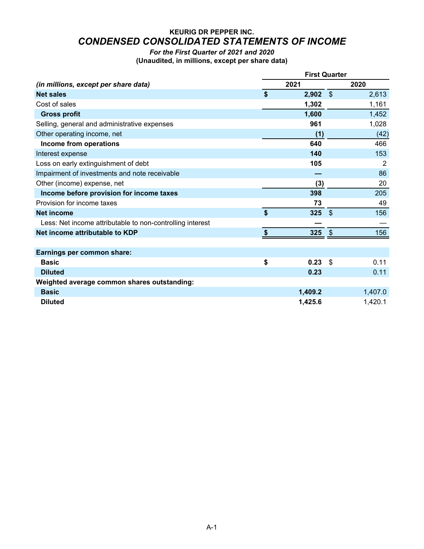# **KEURIG DR PEPPER INC.** *CONDENSED CONSOLIDATED STATEMENTS OF INCOME*

*For the First Quarter of 2021 and 2020* **(Unaudited, in millions, except per share data)**

|                                                           | <b>First Quarter</b> |                |         |  |  |  |  |
|-----------------------------------------------------------|----------------------|----------------|---------|--|--|--|--|
| (in millions, except per share data)                      | 2021                 |                | 2020    |  |  |  |  |
| <b>Net sales</b>                                          | \$<br>$2,902$ \$     |                | 2,613   |  |  |  |  |
| Cost of sales                                             | 1,302                |                | 1,161   |  |  |  |  |
| <b>Gross profit</b>                                       | 1,600                |                | 1,452   |  |  |  |  |
| Selling, general and administrative expenses              | 961                  |                | 1,028   |  |  |  |  |
| Other operating income, net                               | (1)                  |                | (42)    |  |  |  |  |
| Income from operations                                    | 640                  |                | 466     |  |  |  |  |
| Interest expense                                          | 140                  |                | 153     |  |  |  |  |
| Loss on early extinguishment of debt                      | 105                  |                | 2       |  |  |  |  |
| Impairment of investments and note receivable             |                      |                | 86      |  |  |  |  |
| Other (income) expense, net                               | (3)                  |                | 20      |  |  |  |  |
| Income before provision for income taxes                  | 398                  |                | 205     |  |  |  |  |
| Provision for income taxes                                | 73                   |                | 49      |  |  |  |  |
| <b>Net income</b>                                         | \$<br>325            | $\mathfrak{S}$ | 156     |  |  |  |  |
| Less: Net income attributable to non-controlling interest |                      |                |         |  |  |  |  |
| Net income attributable to KDP                            | 325 $$$              |                | 156     |  |  |  |  |
|                                                           |                      |                |         |  |  |  |  |
| Earnings per common share:                                |                      |                |         |  |  |  |  |
| <b>Basic</b>                                              | \$<br>0.23           | \$             | 0.11    |  |  |  |  |
| <b>Diluted</b>                                            | 0.23                 |                | 0.11    |  |  |  |  |
| Weighted average common shares outstanding:               |                      |                |         |  |  |  |  |
| <b>Basic</b>                                              | 1,409.2              |                | 1,407.0 |  |  |  |  |
| <b>Diluted</b>                                            | 1,425.6              |                | 1,420.1 |  |  |  |  |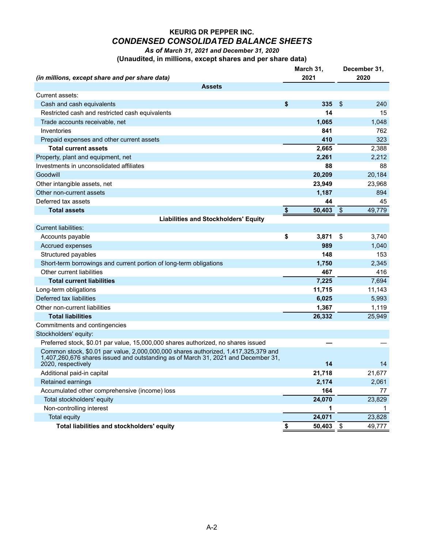# **KEURIG DR PEPPER INC.** *CONDENSED CONSOLIDATED BALANCE SHEETS*

*As of March 31, 2021 and December 31, 2020*

| (Unaudited, in millions, except shares and per share data) |  |  |
|------------------------------------------------------------|--|--|
|------------------------------------------------------------|--|--|

|                                                                                                                                                                                               | March 31,    | December 31,  |        |  |  |
|-----------------------------------------------------------------------------------------------------------------------------------------------------------------------------------------------|--------------|---------------|--------|--|--|
| (in millions, except share and per share data)                                                                                                                                                | 2021         | 2020          |        |  |  |
| <b>Assets</b>                                                                                                                                                                                 |              |               |        |  |  |
| Current assets:                                                                                                                                                                               |              |               |        |  |  |
| Cash and cash equivalents                                                                                                                                                                     | \$<br>335    | \$            | 240    |  |  |
| Restricted cash and restricted cash equivalents                                                                                                                                               | 14           |               | 15     |  |  |
| Trade accounts receivable, net                                                                                                                                                                | 1,065        |               | 1,048  |  |  |
| Inventories                                                                                                                                                                                   | 841          |               | 762    |  |  |
| Prepaid expenses and other current assets                                                                                                                                                     | 410          |               | 323    |  |  |
| <b>Total current assets</b>                                                                                                                                                                   | 2,665        |               | 2,388  |  |  |
| Property, plant and equipment, net                                                                                                                                                            | 2,261        |               | 2,212  |  |  |
| Investments in unconsolidated affiliates                                                                                                                                                      | 88           |               | 88     |  |  |
| Goodwill                                                                                                                                                                                      | 20,209       |               | 20,184 |  |  |
| Other intangible assets, net                                                                                                                                                                  | 23,949       |               | 23,968 |  |  |
| Other non-current assets                                                                                                                                                                      | 1,187        |               | 894    |  |  |
| Deferred tax assets                                                                                                                                                                           | 44           |               | 45     |  |  |
| <b>Total assets</b>                                                                                                                                                                           | \$<br>50,403 | $\sqrt[6]{3}$ | 49,779 |  |  |
| <b>Liabilities and Stockholders' Equity</b>                                                                                                                                                   |              |               |        |  |  |
| <b>Current liabilities:</b>                                                                                                                                                                   |              |               |        |  |  |
| Accounts payable                                                                                                                                                                              | \$<br>3,871  | \$            | 3,740  |  |  |
| Accrued expenses                                                                                                                                                                              | 989          |               | 1,040  |  |  |
| Structured payables                                                                                                                                                                           | 148          |               | 153    |  |  |
| Short-term borrowings and current portion of long-term obligations                                                                                                                            | 1,750        |               | 2,345  |  |  |
| Other current liabilities                                                                                                                                                                     | 467          |               | 416    |  |  |
| <b>Total current liabilities</b>                                                                                                                                                              | 7,225        |               | 7,694  |  |  |
| Long-term obligations                                                                                                                                                                         | 11,715       |               | 11,143 |  |  |
| Deferred tax liabilities                                                                                                                                                                      | 6,025        |               | 5,993  |  |  |
| Other non-current liabilities                                                                                                                                                                 | 1,367        |               | 1,119  |  |  |
| <b>Total liabilities</b>                                                                                                                                                                      | 26,332       |               | 25,949 |  |  |
| Commitments and contingencies                                                                                                                                                                 |              |               |        |  |  |
| Stockholders' equity:                                                                                                                                                                         |              |               |        |  |  |
| Preferred stock, \$0.01 par value, 15,000,000 shares authorized, no shares issued                                                                                                             |              |               |        |  |  |
| Common stock, \$0.01 par value, 2,000,000,000 shares authorized, 1,417,325,379 and<br>1,407,260,676 shares issued and outstanding as of March 31, 2021 and December 31,<br>2020, respectively | 14           |               | 14     |  |  |
| Additional paid-in capital                                                                                                                                                                    | 21,718       |               | 21,677 |  |  |
| <b>Retained earnings</b>                                                                                                                                                                      | 2,174        |               | 2,061  |  |  |
| Accumulated other comprehensive (income) loss                                                                                                                                                 | 164          |               | 77     |  |  |
| Total stockholders' equity                                                                                                                                                                    | 24,070       |               | 23,829 |  |  |
| Non-controlling interest                                                                                                                                                                      | 1            |               |        |  |  |
| <b>Total equity</b>                                                                                                                                                                           | 24,071       |               | 23,828 |  |  |
| Total liabilities and stockholders' equity                                                                                                                                                    | \$<br>50,403 | $\sqrt{3}$    | 49,777 |  |  |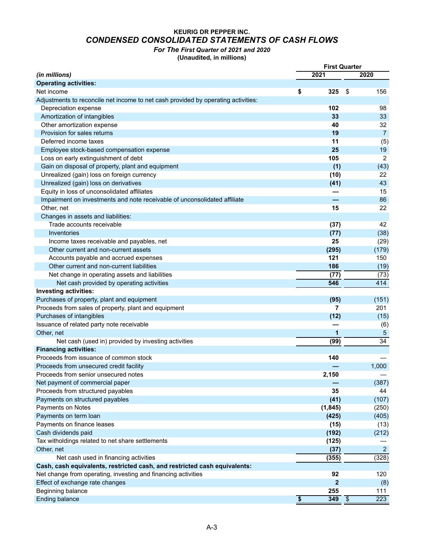## **KEURIG DR PEPPER INC.** *CONDENSED CONSOLIDATED STATEMENTS OF CASH FLOWS*

*For The First Quarter of 2021 and 2020*

**(Unaudited, in millions)**

|                                                                                   | <b>First Quarter</b>    |              |            |                 |
|-----------------------------------------------------------------------------------|-------------------------|--------------|------------|-----------------|
| (in millions)                                                                     |                         | 2021         |            | 2020            |
| <b>Operating activities:</b>                                                      |                         |              |            |                 |
| Net income                                                                        | \$                      | 325          | \$         | 156             |
| Adjustments to reconcile net income to net cash provided by operating activities: |                         |              |            |                 |
| Depreciation expense                                                              |                         | 102          |            | 98              |
| Amortization of intangibles                                                       |                         | 33           |            | 33              |
| Other amortization expense                                                        |                         | 40           |            | 32              |
| Provision for sales returns                                                       |                         | 19           |            | $\overline{7}$  |
| Deferred income taxes                                                             |                         | 11           |            | (5)             |
| Employee stock-based compensation expense                                         |                         | 25           |            | 19              |
| Loss on early extinguishment of debt                                              |                         | 105          |            | 2               |
| Gain on disposal of property, plant and equipment                                 |                         | (1)          |            | (43)            |
| Unrealized (gain) loss on foreign currency                                        |                         | (10)         |            | 22              |
| Unrealized (gain) loss on derivatives                                             |                         | (41)         |            | 43              |
| Equity in loss of unconsolidated affiliates                                       |                         |              |            | 15              |
| Impairment on investments and note receivable of unconsolidated affiliate         |                         |              |            | 86              |
| Other, net                                                                        |                         | 15           |            | 22              |
| Changes in assets and liabilities:                                                |                         |              |            |                 |
| Trade accounts receivable                                                         |                         | (37)         |            | 42              |
| Inventories                                                                       |                         | (77)         |            | (38)            |
| Income taxes receivable and payables, net                                         |                         | 25           |            | (29)            |
| Other current and non-current assets                                              |                         | (295)        |            | (179)           |
| Accounts payable and accrued expenses                                             |                         | 121          |            | 150             |
| Other current and non-current liabilities                                         |                         | 186          |            | (19)            |
| Net change in operating assets and liabilities                                    |                         | (77)         |            | (73)            |
| Net cash provided by operating activities                                         |                         | 546          |            | 414             |
| <b>Investing activities:</b>                                                      |                         |              |            |                 |
| Purchases of property, plant and equipment                                        |                         | (95)         |            | (151)           |
| Proceeds from sales of property, plant and equipment                              |                         | 7            |            | 201             |
| Purchases of intangibles                                                          |                         | (12)         |            | (15)            |
| Issuance of related party note receivable                                         |                         |              |            | (6)             |
| Other, net                                                                        |                         | 1            |            | $\sqrt{5}$      |
| Net cash (used in) provided by investing activities                               |                         | (99)         |            | $\overline{34}$ |
| <b>Financing activities:</b>                                                      |                         |              |            |                 |
| Proceeds from issuance of common stock                                            |                         | 140          |            |                 |
| Proceeds from unsecured credit facility                                           |                         |              |            | 1,000           |
| Proceeds from senior unsecured notes                                              |                         | 2,150        |            |                 |
| Net payment of commercial paper                                                   |                         |              |            | (387)           |
| Proceeds from structured payables                                                 |                         | 35           |            | 44              |
| Payments on structured payables                                                   |                         | (41)         |            | (107)           |
| Payments on Notes                                                                 |                         | (1, 845)     |            | (250)           |
| Payments on term loan                                                             |                         | (425)        |            | (405)           |
| Payments on finance leases                                                        |                         | (15)         |            | (13)            |
| Cash dividends paid                                                               |                         | (192)        |            | (212)           |
| Tax witholdings related to net share settlements                                  |                         | (125)        |            |                 |
| Other, net                                                                        |                         | (37)         |            | $\overline{2}$  |
| Net cash used in financing activities                                             |                         | (355)        |            | (328)           |
| Cash, cash equivalents, restricted cash, and restricted cash equivalents:         |                         |              |            |                 |
| Net change from operating, investing and financing activities                     |                         | 92           |            | 120             |
| Effect of exchange rate changes                                                   |                         | $\mathbf{2}$ |            | (8)             |
| Beginning balance                                                                 |                         | 255          |            | 111             |
| <b>Ending balance</b>                                                             | $\overline{\mathbf{3}}$ | 349          | $\sqrt{3}$ | 223             |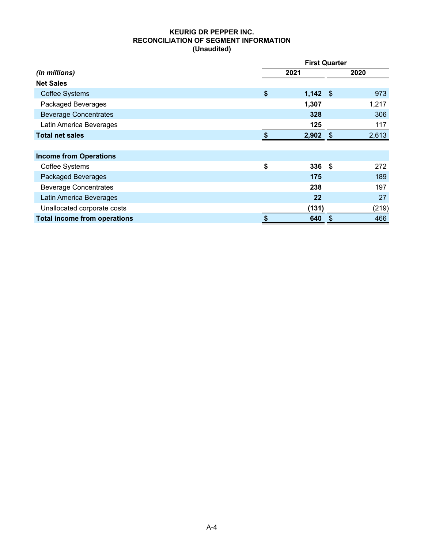### **KEURIG DR PEPPER INC. RECONCILIATION OF SEGMENT INFORMATION (Unaudited)**

|                                     |           | <b>First Quarter</b> |       |  |  |  |  |  |  |  |
|-------------------------------------|-----------|----------------------|-------|--|--|--|--|--|--|--|
| (in millions)                       | 2021      |                      | 2020  |  |  |  |  |  |  |  |
| <b>Net Sales</b>                    |           |                      |       |  |  |  |  |  |  |  |
| <b>Coffee Systems</b>               | \$        | $1,142$ \$           | 973   |  |  |  |  |  |  |  |
| Packaged Beverages                  | 1,307     |                      | 1,217 |  |  |  |  |  |  |  |
| <b>Beverage Concentrates</b>        | 328       |                      | 306   |  |  |  |  |  |  |  |
| Latin America Beverages             | 125       |                      | 117   |  |  |  |  |  |  |  |
| <b>Total net sales</b>              | 2,902     | -\$                  | 2,613 |  |  |  |  |  |  |  |
|                                     |           |                      |       |  |  |  |  |  |  |  |
| <b>Income from Operations</b>       |           |                      |       |  |  |  |  |  |  |  |
| <b>Coffee Systems</b>               | \$        | 336<br>-\$           | 272   |  |  |  |  |  |  |  |
| <b>Packaged Beverages</b>           | 175       |                      | 189   |  |  |  |  |  |  |  |
| <b>Beverage Concentrates</b>        | 238       |                      | 197   |  |  |  |  |  |  |  |
| Latin America Beverages             |           | 22                   | 27    |  |  |  |  |  |  |  |
| Unallocated corporate costs         | (131)     |                      | (219) |  |  |  |  |  |  |  |
| <b>Total income from operations</b> | \$<br>640 | \$                   | 466   |  |  |  |  |  |  |  |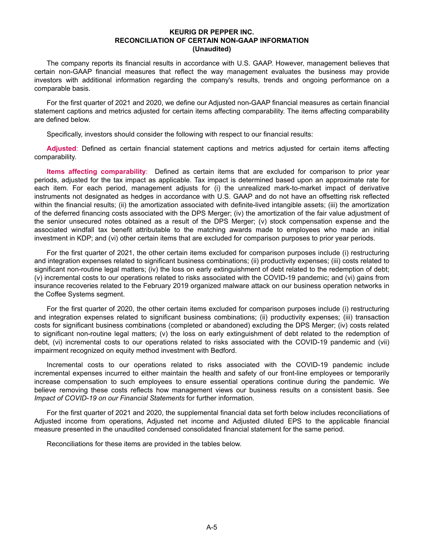### **KEURIG DR PEPPER INC. RECONCILIATION OF CERTAIN NON-GAAP INFORMATION (Unaudited)**

The company reports its financial results in accordance with U.S. GAAP. However, management believes that certain non-GAAP financial measures that reflect the way management evaluates the business may provide investors with additional information regarding the company's results, trends and ongoing performance on a comparable basis.

For the first quarter of 2021 and 2020, we define our Adjusted non-GAAP financial measures as certain financial statement captions and metrics adjusted for certain items affecting comparability. The items affecting comparability are defined below.

Specifically, investors should consider the following with respect to our financial results:

**Adjusted**: Defined as certain financial statement captions and metrics adjusted for certain items affecting comparability.

**Items affecting comparability**: Defined as certain items that are excluded for comparison to prior year periods, adjusted for the tax impact as applicable. Tax impact is determined based upon an approximate rate for each item. For each period, management adjusts for (i) the unrealized mark-to-market impact of derivative instruments not designated as hedges in accordance with U.S. GAAP and do not have an offsetting risk reflected within the financial results; (ii) the amortization associated with definite-lived intangible assets; (iii) the amortization of the deferred financing costs associated with the DPS Merger; (iv) the amortization of the fair value adjustment of the senior unsecured notes obtained as a result of the DPS Merger; (v) stock compensation expense and the associated windfall tax benefit attributable to the matching awards made to employees who made an initial investment in KDP; and (vi) other certain items that are excluded for comparison purposes to prior year periods.

For the first quarter of 2021, the other certain items excluded for comparison purposes include (i) restructuring and integration expenses related to significant business combinations; (ii) productivity expenses; (iii) costs related to significant non-routine legal matters; (iv) the loss on early extinguishment of debt related to the redemption of debt; (v) incremental costs to our operations related to risks associated with the COVID-19 pandemic; and (vi) gains from insurance recoveries related to the February 2019 organized malware attack on our business operation networks in the Coffee Systems segment.

For the first quarter of 2020, the other certain items excluded for comparison purposes include (i) restructuring and integration expenses related to significant business combinations; (ii) productivity expenses; (iii) transaction costs for significant business combinations (completed or abandoned) excluding the DPS Merger; (iv) costs related to significant non-routine legal matters; (v) the loss on early extinguishment of debt related to the redemption of debt, (vi) incremental costs to our operations related to risks associated with the COVID-19 pandemic and (vii) impairment recognized on equity method investment with Bedford.

Incremental costs to our operations related to risks associated with the COVID-19 pandemic include incremental expenses incurred to either maintain the health and safety of our front-line employees or temporarily increase compensation to such employees to ensure essential operations continue during the pandemic. We believe removing these costs reflects how management views our business results on a consistent basis. See *Impact of COVID-19 on our Financial Statements* for further information.

For the first quarter of 2021 and 2020, the supplemental financial data set forth below includes reconciliations of Adjusted income from operations, Adjusted net income and Adjusted diluted EPS to the applicable financial measure presented in the unaudited condensed consolidated financial statement for the same period.

Reconciliations for these items are provided in the tables below.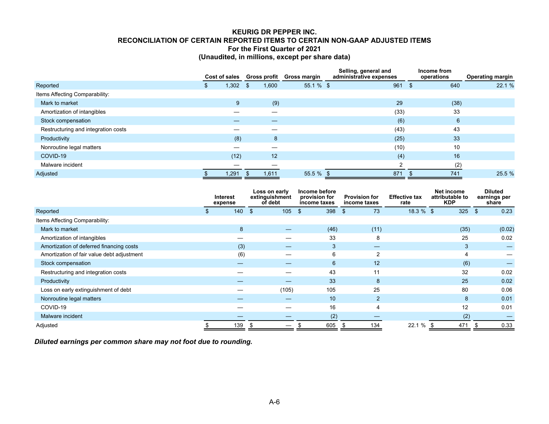### **KEURIG DR PEPPER INC. RECONCILIATION OF CERTAIN REPORTED ITEMS TO CERTAIN NON-GAAP ADJUSTED ITEMS For the First Quarter of 2021 (Unaudited, in millions, except per share data)**

|                                     | Cost of sales |       | Gross profit Gross margin |       |              | Selling, general and<br>administrative expenses |      | Income from<br>operations | <b>Operating margin</b> |        |
|-------------------------------------|---------------|-------|---------------------------|-------|--------------|-------------------------------------------------|------|---------------------------|-------------------------|--------|
| Reported                            | D             | 1,302 | \$                        | 1,600 | 55.1 % \$    |                                                 | 961  | -\$                       | 640                     | 22.1 % |
| Items Affecting Comparability:      |               |       |                           |       |              |                                                 |      |                           |                         |        |
| Mark to market                      |               | 9     |                           | (9)   |              |                                                 | 29   |                           | (38)                    |        |
| Amortization of intangibles         |               |       |                           |       |              |                                                 | (33) |                           | 33                      |        |
| Stock compensation                  |               |       |                           |       |              |                                                 | (6)  |                           | 6                       |        |
| Restructuring and integration costs |               |       |                           |       |              |                                                 | (43) |                           | 43                      |        |
| Productivity                        |               | (8)   |                           | 8     |              |                                                 | (25) |                           | 33                      |        |
| Nonroutine legal matters            |               |       |                           |       |              |                                                 | (10) |                           | 10                      |        |
| COVID-19                            |               | (12)  |                           | 12    |              |                                                 | (4)  |                           | 16                      |        |
| Malware incident                    |               |       |                           |       |              |                                                 | ົ    |                           | (2)                     |        |
| Adjusted                            |               | 1,291 |                           | 1,611 | $55.5 \%$ \$ |                                                 | 871  |                           | 741                     | 25.5 % |

|                                            | <b>Interest</b><br>expense |     | Loss on early<br>extinguishment<br>of debt |       | Income before<br>provision for<br>income taxes |                | <b>Provision for</b><br>income taxes | <b>Effective tax</b><br>rate | Net income<br>attributable to<br><b>KDP</b> | <b>Diluted</b><br>earnings per<br>share |        |
|--------------------------------------------|----------------------------|-----|--------------------------------------------|-------|------------------------------------------------|----------------|--------------------------------------|------------------------------|---------------------------------------------|-----------------------------------------|--------|
| Reported                                   |                            | 140 | - \$                                       | 105   | \$                                             | 398            | 73<br>\$                             | $18.3 \%$ \$                 | 325                                         | $\mathbf{S}$                            | 0.23   |
| Items Affecting Comparability:             |                            |     |                                            |       |                                                |                |                                      |                              |                                             |                                         |        |
| Mark to market                             |                            | 8   |                                            |       |                                                | (46)           | (11)                                 |                              | (35)                                        |                                         | (0.02) |
| Amortization of intangibles                |                            |     |                                            |       |                                                | 33             | 8                                    |                              | 25                                          |                                         | 0.02   |
| Amortization of deferred financing costs   |                            | (3) |                                            | —     |                                                | 3              | —                                    |                              | 3                                           |                                         |        |
| Amortization of fair value debt adjustment |                            | (6) |                                            |       |                                                | 6              | 2                                    |                              | 4                                           |                                         |        |
| Stock compensation                         |                            |     |                                            |       |                                                | $6\phantom{1}$ | 12                                   |                              | (6)                                         |                                         |        |
| Restructuring and integration costs        |                            |     |                                            |       |                                                | 43             | 11                                   |                              | 32                                          |                                         | 0.02   |
| Productivity                               |                            |     |                                            |       |                                                | 33             | 8                                    |                              | 25                                          |                                         | 0.02   |
| Loss on early extinguishment of debt       |                            |     |                                            | (105) |                                                | 105            | 25                                   |                              | 80                                          |                                         | 0.06   |
| Nonroutine legal matters                   |                            |     |                                            |       |                                                | 10             | 2                                    |                              | 8                                           |                                         | 0.01   |
| COVID-19                                   |                            |     |                                            |       |                                                | 16             | 4                                    |                              | 12                                          |                                         | 0.01   |
| Malware incident                           |                            |     |                                            |       |                                                | (2)            |                                      |                              | (2)                                         |                                         |        |
| Adjusted                                   |                            | 139 |                                            |       |                                                | 605            | 134                                  | 22.1 %                       | 471                                         |                                         | 0.33   |

*Diluted earnings per common share may not foot due to rounding.*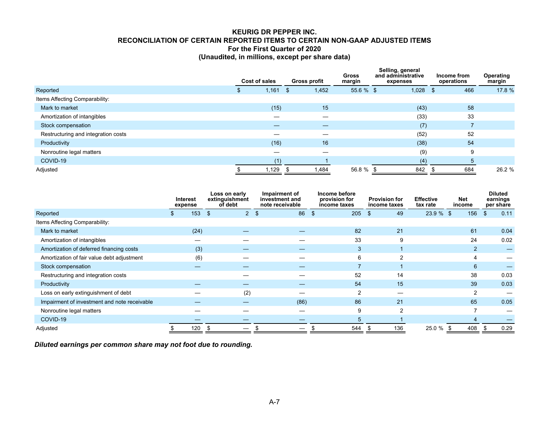### **KEURIG DR PEPPER INC. RECONCILIATION OF CERTAIN REPORTED ITEMS TO CERTAIN NON-GAAP ADJUSTED ITEMS For the First Quarter of 2020 (Unaudited, in millions, except per share data)**

|                                     | Cost of sales |       |     | <b>Gross profit</b> | <b>Gross</b><br>margin | Selling, general<br>and administrative<br>expenses |       | Income from<br>operations |     | Operating<br>margin |
|-------------------------------------|---------------|-------|-----|---------------------|------------------------|----------------------------------------------------|-------|---------------------------|-----|---------------------|
| Reported                            | Эħ.           | 1,161 | -\$ | 1,452               | $55.6 \%$ \$           |                                                    | 1,028 | - \$                      | 466 | 17.8 %              |
| Items Affecting Comparability:      |               |       |     |                     |                        |                                                    |       |                           |     |                     |
| Mark to market                      |               | (15)  |     | 15                  |                        |                                                    | (43)  |                           | 58  |                     |
| Amortization of intangibles         |               |       |     | –                   |                        |                                                    | (33)  |                           | 33  |                     |
| Stock compensation                  |               |       |     |                     |                        |                                                    | (7)   |                           |     |                     |
| Restructuring and integration costs |               |       |     |                     |                        |                                                    | (52)  |                           | 52  |                     |
| Productivity                        |               | (16)  |     | 16                  |                        |                                                    | (38)  |                           | 54  |                     |
| Nonroutine legal matters            |               |       |     |                     |                        |                                                    | (9)   |                           | 9   |                     |
| COVID-19                            |               | (1)   |     |                     |                        |                                                    | (4)   |                           | 5   |                     |
| Adjusted                            |               | 1,129 |     | 1,484               | 56.8 % \$              |                                                    | 842   |                           | 684 | 26.2 %              |

|                                              | <b>Interest</b><br>expense |                | Loss on early<br>extinguishment<br>of debt | Impairment of<br>investment and<br>note receivable |               | Income before<br>provision for<br>income taxes | <b>Provision for</b><br>income taxes | <b>Effective</b><br>tax rate | Net<br>income         | <b>Diluted</b><br>earnings<br>per share |      |
|----------------------------------------------|----------------------------|----------------|--------------------------------------------|----------------------------------------------------|---------------|------------------------------------------------|--------------------------------------|------------------------------|-----------------------|-----------------------------------------|------|
| Reported                                     | 153                        | $\mathfrak{F}$ | $\overline{2}$                             | 86<br>$\mathfrak{s}$                               | $\mathbf{\$}$ | 205                                            | 49<br>\$                             | $23.9 \%$ \$                 | 156                   | $\mathfrak{L}$                          | 0.11 |
| Items Affecting Comparability:               |                            |                |                                            |                                                    |               |                                                |                                      |                              |                       |                                         |      |
| Mark to market                               | (24)                       |                |                                            |                                                    |               | 82                                             | 21                                   |                              | 61                    |                                         | 0.04 |
| Amortization of intangibles                  |                            |                |                                            |                                                    |               | 33                                             | 9                                    |                              | 24                    |                                         | 0.02 |
| Amortization of deferred financing costs     | (3)                        |                |                                            |                                                    |               | 3                                              |                                      |                              | $\overline{2}$        |                                         |      |
| Amortization of fair value debt adjustment   | (6)                        |                |                                            |                                                    |               | 6                                              | 2                                    |                              | $\boldsymbol{\Delta}$ |                                         |      |
| Stock compensation                           |                            |                |                                            |                                                    |               | 7                                              |                                      |                              | 6                     |                                         |      |
| Restructuring and integration costs          |                            |                |                                            |                                                    |               | 52                                             | 14                                   |                              | 38                    |                                         | 0.03 |
| Productivity                                 |                            |                |                                            |                                                    |               | 54                                             | 15                                   |                              | 39                    |                                         | 0.03 |
| Loss on early extinguishment of debt         |                            |                | (2)                                        |                                                    |               | $\overline{2}$                                 |                                      |                              | $\overline{2}$        |                                         |      |
| Impairment of investment and note receivable |                            |                |                                            | (86)                                               |               | 86                                             | 21                                   |                              | 65                    |                                         | 0.05 |
| Nonroutine legal matters                     |                            |                |                                            |                                                    |               | 9                                              | $\overline{2}$                       |                              |                       |                                         |      |
| COVID-19                                     |                            |                |                                            |                                                    |               | 5                                              |                                      |                              |                       |                                         |      |
| Adjusted                                     | 120                        |                |                                            |                                                    |               | 544                                            | 136                                  | 25.0 %                       | 408<br>- \$           |                                         | 0.29 |

*Diluted earnings per common share may not foot due to rounding.*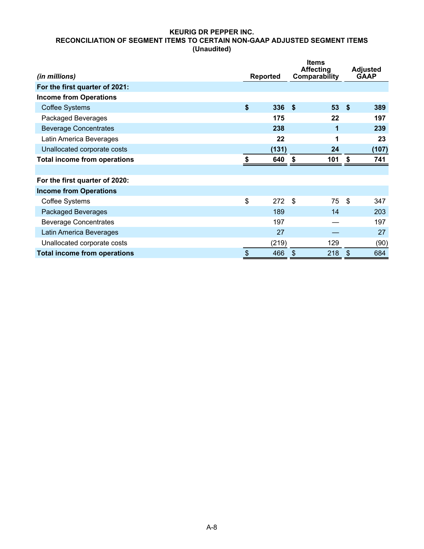### **KEURIG DR PEPPER INC. RECONCILIATION OF SEGMENT ITEMS TO CERTAIN NON-GAAP ADJUSTED SEGMENT ITEMS (Unaudited)**

|                                     |                           |       | <b>Items</b><br><b>Affecting</b> |               | <b>Adjusted</b> |
|-------------------------------------|---------------------------|-------|----------------------------------|---------------|-----------------|
| (in millions)                       | <b>Reported</b>           |       | <b>Comparability</b>             |               | <b>GAAP</b>     |
| For the first quarter of 2021:      |                           |       |                                  |               |                 |
| <b>Income from Operations</b>       |                           |       |                                  |               |                 |
| <b>Coffee Systems</b>               | \$                        | 336   | $53$ \$<br>-\$                   |               | 389             |
| Packaged Beverages                  |                           | 175   | 22                               |               | 197             |
| <b>Beverage Concentrates</b>        |                           | 238   | 1                                |               | 239             |
| Latin America Beverages             |                           | 22    | 1                                |               | 23              |
| Unallocated corporate costs         |                           | (131) | 24                               |               | (107)           |
| <b>Total income from operations</b> |                           | 640   | 101<br>- \$                      | \$            | 741             |
|                                     |                           |       |                                  |               |                 |
| For the first quarter of 2020:      |                           |       |                                  |               |                 |
| <b>Income from Operations</b>       |                           |       |                                  |               |                 |
| <b>Coffee Systems</b>               | \$                        | 272   | \$<br>75                         | \$            | 347             |
| <b>Packaged Beverages</b>           |                           | 189   | 14                               |               | 203             |
| <b>Beverage Concentrates</b>        |                           | 197   |                                  |               | 197             |
| Latin America Beverages             |                           | 27    |                                  |               | 27              |
| Unallocated corporate costs         |                           | (219) | 129                              |               | (90)            |
| <b>Total income from operations</b> | $\boldsymbol{\mathsf{S}}$ | 466   | 218<br>\$                        | $\frac{1}{2}$ | 684             |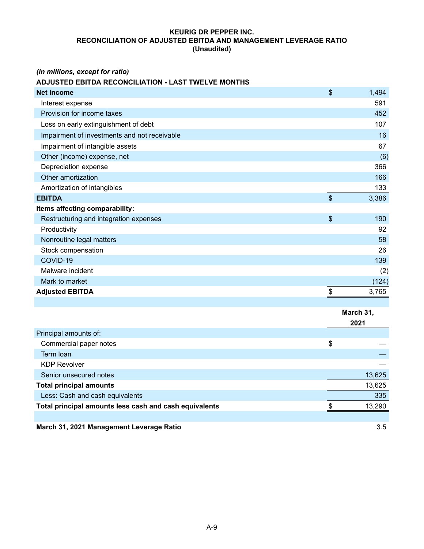### **KEURIG DR PEPPER INC. RECONCILIATION OF ADJUSTED EBITDA AND MANAGEMENT LEVERAGE RATIO (Unaudited)**

### *(in millions, except for ratio)*

# **ADJUSTED EBITDA RECONCILIATION - LAST TWELVE MONTHS**

| <b>Net income</b>                                      | \$                        | 1,494     |
|--------------------------------------------------------|---------------------------|-----------|
| Interest expense                                       |                           | 591       |
| Provision for income taxes                             |                           | 452       |
| Loss on early extinguishment of debt                   |                           | 107       |
| Impairment of investments and not receivable           |                           | 16        |
| Impairment of intangible assets                        |                           | 67        |
| Other (income) expense, net                            |                           | (6)       |
| Depreciation expense                                   |                           | 366       |
| Other amortization                                     |                           | 166       |
| Amortization of intangibles                            |                           | 133       |
| <b>EBITDA</b>                                          | $\boldsymbol{\mathsf{S}}$ | 3,386     |
| Items affecting comparability:                         |                           |           |
| Restructuring and integration expenses                 | \$                        | 190       |
| Productivity                                           |                           | 92        |
| Nonroutine legal matters                               |                           | 58        |
| Stock compensation                                     |                           | 26        |
| COVID-19                                               |                           | 139       |
| Malware incident                                       |                           | (2)       |
| Mark to market                                         |                           | (124)     |
| <b>Adjusted EBITDA</b>                                 | \$                        | 3,765     |
|                                                        |                           |           |
|                                                        |                           | March 31, |
|                                                        |                           | 2021      |
| Principal amounts of:                                  |                           |           |
| Commercial paper notes                                 | \$                        |           |
| Term loan                                              |                           |           |
| <b>KDP Revolver</b>                                    |                           |           |
| Senior unsecured notes                                 |                           | 13,625    |
| <b>Total principal amounts</b>                         |                           | 13,625    |
| Less: Cash and cash equivalents                        |                           | 335       |
| Total principal amounts less cash and cash equivalents | \$                        | 13,290    |
|                                                        |                           |           |
| March 31, 2021 Management Leverage Ratio               |                           | 3.5       |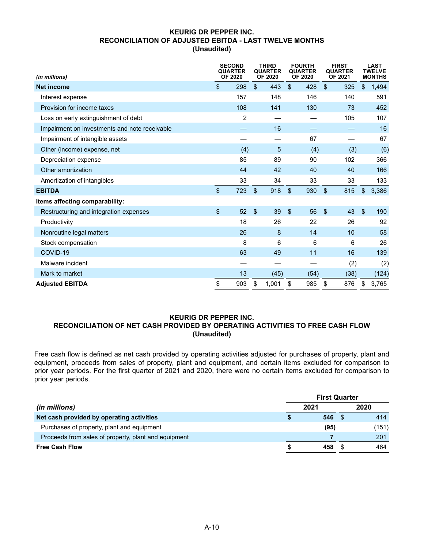### **KEURIG DR PEPPER INC. RECONCILIATION OF ADJUSTED EBITDA - LAST TWELVE MONTHS (Unaudited)**

| (in millions)                                 |                         | <b>SECOND</b><br><b>QUARTER</b><br><b>OF 2020</b> |                         | <b>THIRD</b><br><b>QUARTER</b><br><b>OF 2020</b> |                | <b>FOURTH</b><br><b>QUARTER</b><br><b>OF 2020</b> | <b>FIRST</b><br><b>QUARTER</b><br><b>OF 2021</b> |      |                         | <b>LAST</b><br>TWELVE<br><b>MONTHS</b> |
|-----------------------------------------------|-------------------------|---------------------------------------------------|-------------------------|--------------------------------------------------|----------------|---------------------------------------------------|--------------------------------------------------|------|-------------------------|----------------------------------------|
| <b>Net income</b>                             | $\sqrt[6]{\frac{1}{2}}$ | 298                                               | $\mathfrak{L}$          | 443                                              | $\mathfrak{S}$ | 428                                               | $\mathfrak{L}$                                   | 325  | \$                      | 1,494                                  |
| Interest expense                              |                         | 157                                               |                         | 148                                              |                | 146                                               |                                                  | 140  |                         | 591                                    |
| Provision for income taxes                    |                         | 108                                               |                         | 141                                              |                | 130                                               |                                                  | 73   |                         | 452                                    |
| Loss on early extinguishment of debt          |                         | 2                                                 |                         |                                                  |                |                                                   |                                                  | 105  |                         | 107                                    |
| Impairment on investments and note receivable |                         |                                                   |                         | 16                                               |                |                                                   |                                                  |      |                         | 16                                     |
| Impairment of intangible assets               |                         |                                                   |                         |                                                  |                | 67                                                |                                                  |      |                         | 67                                     |
| Other (income) expense, net                   |                         | (4)                                               |                         | 5                                                |                | (4)                                               |                                                  | (3)  |                         | (6)                                    |
| Depreciation expense                          |                         | 85                                                |                         | 89                                               |                | 90                                                |                                                  | 102  |                         | 366                                    |
| Other amortization                            |                         | 44                                                |                         | 42                                               |                | 40                                                |                                                  | 40   |                         | 166                                    |
| Amortization of intangibles                   |                         | 33                                                |                         | 34                                               |                | 33                                                |                                                  | 33   |                         | 133                                    |
| <b>EBITDA</b>                                 | $\mathfrak{S}$          | 723                                               | $\sqrt[6]{\frac{1}{2}}$ | 918                                              | $\mathfrak{L}$ | 930                                               | $\mathfrak{L}$                                   | 815  | $\mathfrak{L}$          | 3,386                                  |
| Items affecting comparability:                |                         |                                                   |                         |                                                  |                |                                                   |                                                  |      |                         |                                        |
| Restructuring and integration expenses        | $\sqrt[6]{\frac{1}{2}}$ | 52                                                | \$                      | 39                                               | $\mathfrak{L}$ | 56                                                | $\sqrt[6]{\frac{1}{2}}$                          | 43   | $\sqrt[6]{\frac{1}{2}}$ | 190                                    |
| Productivity                                  |                         | 18                                                |                         | 26                                               |                | 22                                                |                                                  | 26   |                         | 92                                     |
| Nonroutine legal matters                      |                         | 26                                                |                         | 8                                                |                | 14                                                |                                                  | 10   |                         | 58                                     |
| Stock compensation                            |                         | 8                                                 |                         | 6                                                |                | 6                                                 |                                                  | 6    |                         | 26                                     |
| COVID-19                                      |                         | 63                                                |                         | 49                                               |                | 11                                                |                                                  | 16   |                         | 139                                    |
| Malware incident                              |                         |                                                   |                         |                                                  |                |                                                   |                                                  | (2)  |                         | (2)                                    |
| Mark to market                                |                         | 13                                                |                         | (45)                                             |                | (54)                                              |                                                  | (38) |                         | (124)                                  |
| <b>Adjusted EBITDA</b>                        | \$                      | 903                                               | \$                      | 1,001                                            | \$             | 985                                               | \$                                               | 876  | \$                      | 3,765                                  |

### **KEURIG DR PEPPER INC. RECONCILIATION OF NET CASH PROVIDED BY OPERATING ACTIVITIES TO FREE CASH FLOW (Unaudited)**

Free cash flow is defined as net cash provided by operating activities adjusted for purchases of property, plant and equipment, proceeds from sales of property, plant and equipment, and certain items excluded for comparison to prior year periods. For the first quarter of 2021 and 2020, there were no certain items excluded for comparison to prior year periods.

|                                                      | <b>First Quarter</b> |      |  |       |
|------------------------------------------------------|----------------------|------|--|-------|
| (in millions)                                        |                      | 2021 |  | 2020  |
| Net cash provided by operating activities            |                      | 546  |  | 414   |
| Purchases of property, plant and equipment           |                      | (95) |  | (151) |
| Proceeds from sales of property, plant and equipment |                      |      |  | 201   |
| <b>Free Cash Flow</b>                                |                      | 458  |  | 464   |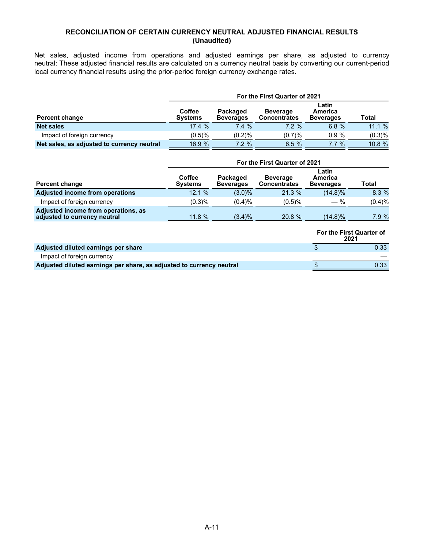### **RECONCILIATION OF CERTAIN CURRENCY NEUTRAL ADJUSTED FINANCIAL RESULTS (Unaudited)**

Net sales, adjusted income from operations and adjusted earnings per share, as adjusted to currency neutral: These adjusted financial results are calculated on a currency neutral basis by converting our current-period local currency financial results using the prior-period foreign currency exchange rates.

| <b>Percent change</b>                      | For the First Quarter of 2021   |                              |                                        |                                      |              |  |  |  |
|--------------------------------------------|---------------------------------|------------------------------|----------------------------------------|--------------------------------------|--------------|--|--|--|
|                                            | <b>Coffee</b><br><b>Systems</b> | Packaged<br><b>Beverages</b> | <b>Beverage</b><br><b>Concentrates</b> | Latin<br>America<br><b>Beverages</b> | <b>Total</b> |  |  |  |
| <b>Net sales</b>                           | 17.4%                           | 7.4%                         | $7.2 \%$                               | 6.8%                                 | 11.1%        |  |  |  |
| Impact of foreign currency                 | $(0.5)$ %                       | (0.2)%                       | (0.7)%                                 | 0.9%                                 | (0.3)%       |  |  |  |
| Net sales, as adjusted to currency neutral | 16.9 %                          | $7.2 \%$                     | 6.5%                                   | $7.7\%$                              | $10.8 \%$    |  |  |  |

|                                                                     | For the First Quarter of 2021   |                              |                                        |                                      |        |  |  |  |
|---------------------------------------------------------------------|---------------------------------|------------------------------|----------------------------------------|--------------------------------------|--------|--|--|--|
| <b>Percent change</b>                                               | <b>Coffee</b><br><b>Systems</b> | Packaged<br><b>Beverages</b> | <b>Beverage</b><br><b>Concentrates</b> | Latin<br>America<br><b>Beverages</b> | Total  |  |  |  |
| <b>Adjusted income from operations</b>                              | 12.1 %                          | $(3.0)\%$                    | 21.3%                                  | $(14.8)\%$                           | 8.3%   |  |  |  |
| Impact of foreign currency                                          | (0.3)%                          | (0.4)%                       | (0.5)%                                 | $-$ %                                | (0.4)% |  |  |  |
| Adjusted income from operations, as<br>adjusted to currency neutral | 11.8%                           | $(3.4)\%$                    | 20.8 %                                 | $(14.8)\%$                           | 7.9%   |  |  |  |
|                                                                     |                                 |                              |                                        |                                      |        |  |  |  |

|                                                                      | <b>For the First Quarter of</b><br>2021 |  |  |
|----------------------------------------------------------------------|-----------------------------------------|--|--|
| Adjusted diluted earnings per share                                  | 0.33                                    |  |  |
| Impact of foreign currency                                           |                                         |  |  |
| Adjusted diluted earnings per share, as adjusted to currency neutral | 0.33                                    |  |  |